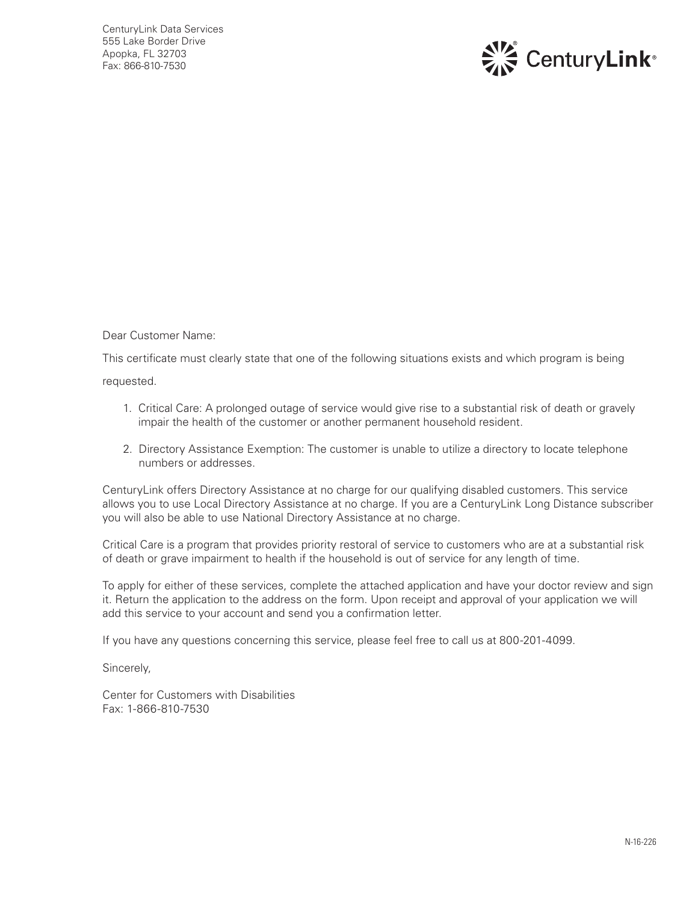

Dear Customer Name:

This certificate must clearly state that one of the following situations exists and which program is being

requested.

- 1. Critical Care: A prolonged outage of service would give rise to a substantial risk of death or gravely impair the health of the customer or another permanent household resident.
- 2. Directory Assistance Exemption: The customer is unable to utilize a directory to locate telephone numbers or addresses.

CenturyLink offers Directory Assistance at no charge for our qualifying disabled customers. This service allows you to use Local Directory Assistance at no charge. If you are a CenturyLink Long Distance subscriber you will also be able to use National Directory Assistance at no charge.

Critical Care is a program that provides priority restoral of service to customers who are at a substantial risk of death or grave impairment to health if the household is out of service for any length of time.

To apply for either of these services, complete the attached application and have your doctor review and sign it. Return the application to the address on the form. Upon receipt and approval of your application we will add this service to your account and send you a confirmation letter.

If you have any questions concerning this service, please feel free to call us at 800-201-4099.

Sincerely,

Center for Customers with Disabilities Fax: 1-866-810-7530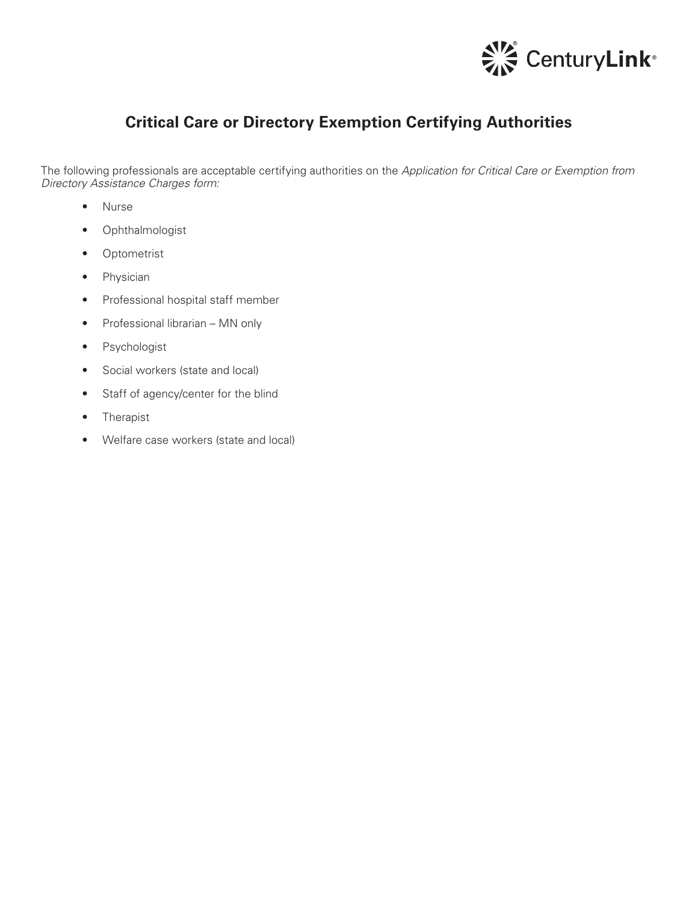

## **Critical Care or Directory Exemption Certifying Authorities**

The following professionals are acceptable certifying authorities on the *Application for Critical Care or Exemption from Directory Assistance Charges form:*

- Nurse
- Ophthalmologist
- Optometrist
- Physician
- Professional hospital staff member
- Professional librarian MN only
- Psychologist
- Social workers (state and local)
- Staff of agency/center for the blind
- Therapist
- Welfare case workers (state and local)